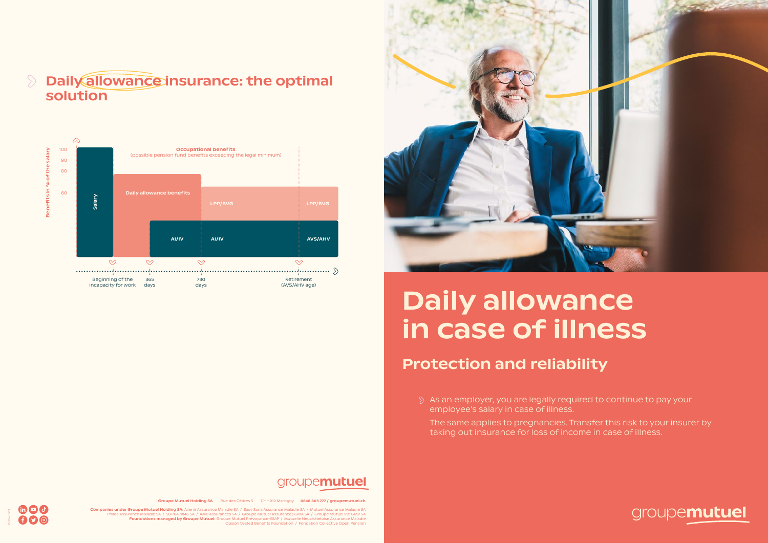Edition 3.22

moo

 $\bigcirc$ 



- $\Diamond$  As an employer, you are legally required to continue to pay your employee's salary in case of illness.
	- The same applies to pregnancies. Transfer this risk to your insurer by taking out insurance for loss of income in case of illness.

## groupemutuel

### Daily allowance insurance: the optimal  $\mathcal{D}$ solution

# Daily allowance in case of illness

## Protection and reliability



## groupemutuel

Groupe Mutuel Holding SA Rue des Cèdres 5 CH-1919 Martigny 0848 803 777 / groupemutuel.ch

Companies under Groupe Mutuel Holding SA: Avenir Assurance Maladie SA / Easy Sana Assurance Maladie SA / Mutuel Assurance Maladie SA Philos Assurance Maladie SA / SUPRA-1846 SA / AMB Assurances SA / Groupe Mutuel Assurances GMA SA / Groupe Mutuel Vie GMV SA<br>**Foundations managed by Groupe Mutuel:** Groupe Mosiuel Prévoyance-GMP / Mutuell Neuchâteloise Ass